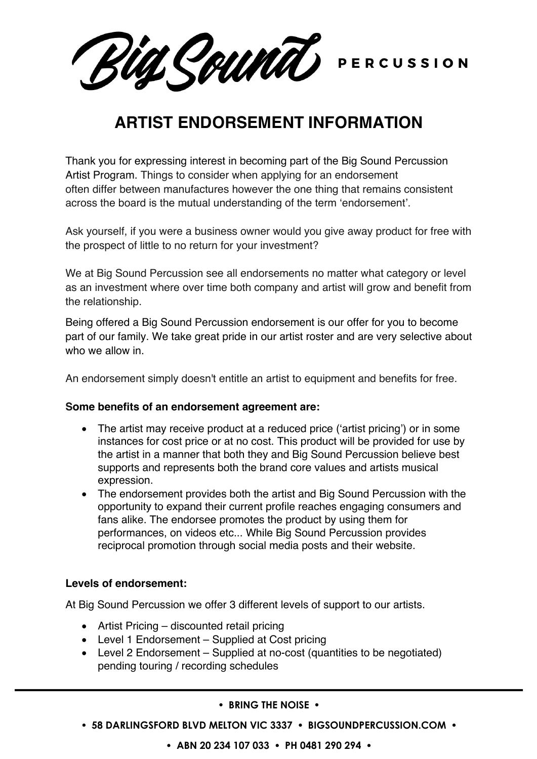Big Sound PERCUSSION

# **ARTIST ENDORSEMENT INFORMATION**

Thank you for expressing interest in becoming part of the Big Sound Percussion Artist Program. Things to consider when applying for an endorsement often differ between manufactures however the one thing that remains consistent across the board is the mutual understanding of the term 'endorsement'.

Ask yourself, if you were a business owner would you give away product for free with the prospect of little to no return for your investment?

We at Big Sound Percussion see all endorsements no matter what category or level as an investment where over time both company and artist will grow and benefit from the relationship.

Being offered a Big Sound Percussion endorsement is our offer for you to become part of our family. We take great pride in our artist roster and are very selective about who we allow in.

An endorsement simply doesn't entitle an artist to equipment and benefits for free.

#### **Some benefits of an endorsement agreement are:**

- The artist may receive product at a reduced price ('artist pricing') or in some instances for cost price or at no cost. This product will be provided for use by the artist in a manner that both they and Big Sound Percussion believe best supports and represents both the brand core values and artists musical expression.
- The endorsement provides both the artist and Big Sound Percussion with the opportunity to expand their current profile reaches engaging consumers and fans alike. The endorsee promotes the product by using them for performances, on videos etc... While Big Sound Percussion provides reciprocal promotion through social media posts and their website.

#### **Levels of endorsement:**

At Big Sound Percussion we offer 3 different levels of support to our artists.

- Artist Pricing discounted retail pricing
- Level 1 Endorsement Supplied at Cost pricing
- Level 2 Endorsement Supplied at no-cost (quantities to be negotiated) pending touring / recording schedules

#### **• BRING THE NOISE •**

- **58 DARLINGSFORD BLVD MELTON VIC 3337 BIGSOUNDPERCUSSION.COM** 
	- **ABN 20 234 107 033 PH 0481 290 294**